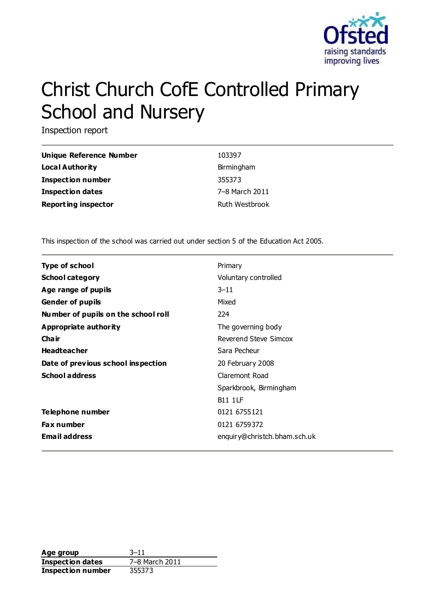

# Christ Church CofE Controlled Primary School and Nursery

Inspection report

| <b>Unique Reference Number</b> | 103397         |
|--------------------------------|----------------|
| Local Authority                | Birmingham     |
| <b>Inspection number</b>       | 355373         |
| <b>Inspection dates</b>        | 7–8 March 2011 |
| <b>Reporting inspector</b>     | Ruth Westbrook |

This inspection of the school was carried out under section 5 of the Education Act 2005.

| <b>Type of school</b>               | Primary                      |
|-------------------------------------|------------------------------|
| <b>School category</b>              | Voluntary controlled         |
| Age range of pupils                 | $3 - 11$                     |
| <b>Gender of pupils</b>             | Mixed                        |
| Number of pupils on the school roll | 224                          |
| Appropriate authority               | The governing body           |
| Cha ir                              | Reverend Steve Simcox        |
| <b>Headteacher</b>                  | Sara Pecheur                 |
| Date of previous school inspection  | 20 February 2008             |
| <b>School address</b>               | Claremont Road               |
|                                     | Sparkbrook, Birmingham       |
|                                     | <b>B11 1LF</b>               |
| Telephone number                    | 0121 6755121                 |
| <b>Fax number</b>                   | 0121 6759372                 |
| <b>Email address</b>                | enquiry@christch.bham.sch.uk |

**Age group** 3–11 **Inspection dates** 7–8 March 2011 **Inspection number** 355373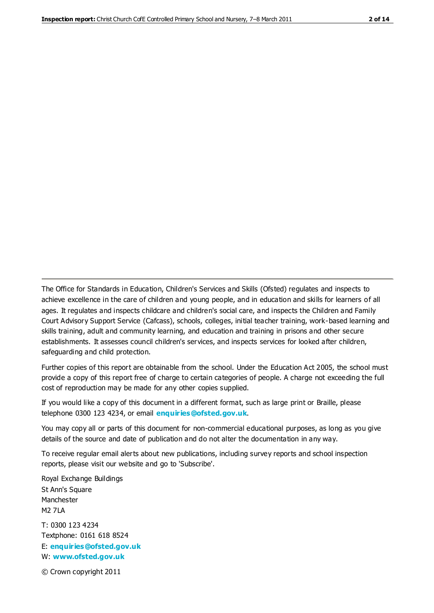The Office for Standards in Education, Children's Services and Skills (Ofsted) regulates and inspects to achieve excellence in the care of children and young people, and in education and skills for learners of all ages. It regulates and inspects childcare and children's social care, and inspects the Children and Family Court Advisory Support Service (Cafcass), schools, colleges, initial teacher training, work-based learning and skills training, adult and community learning, and education and training in prisons and other secure establishments. It assesses council children's services, and inspects services for looked after children, safeguarding and child protection.

Further copies of this report are obtainable from the school. Under the Education Act 2005, the school must provide a copy of this report free of charge to certain categories of people. A charge not exceeding the full cost of reproduction may be made for any other copies supplied.

If you would like a copy of this document in a different format, such as large print or Braille, please telephone 0300 123 4234, or email **[enquiries@ofsted.gov.uk](mailto:enquiries@ofsted.gov.uk)**.

You may copy all or parts of this document for non-commercial educational purposes, as long as you give details of the source and date of publication and do not alter the documentation in any way.

To receive regular email alerts about new publications, including survey reports and school inspection reports, please visit our website and go to 'Subscribe'.

Royal Exchange Buildings St Ann's Square Manchester M2 7LA T: 0300 123 4234 Textphone: 0161 618 8524 E: **[enquiries@ofsted.gov.uk](mailto:enquiries@ofsted.gov.uk)**

W: **[www.ofsted.gov.uk](http://www.ofsted.gov.uk/)**

© Crown copyright 2011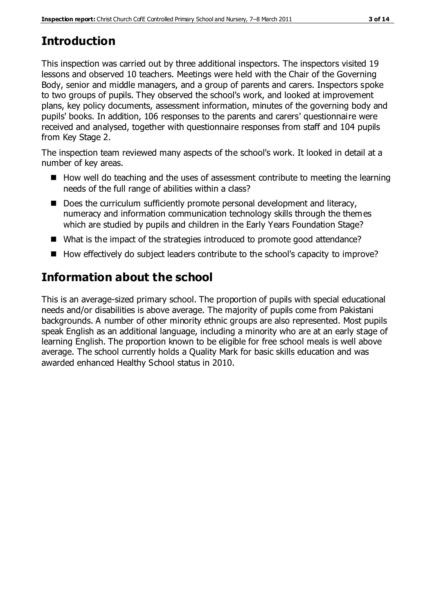# **Introduction**

This inspection was carried out by three additional inspectors. The inspectors visited 19 lessons and observed 10 teachers. Meetings were held with the Chair of the Governing Body, senior and middle managers, and a group of parents and carers. Inspectors spoke to two groups of pupils. They observed the school's work, and looked at improvement plans, key policy documents, assessment information, minutes of the governing body and pupils' books. In addition, 106 responses to the parents and carers' questionnaire were received and analysed, together with questionnaire responses from staff and 104 pupils from Key Stage 2.

The inspection team reviewed many aspects of the school's work. It looked in detail at a number of key areas.

- $\blacksquare$  How well do teaching and the uses of assessment contribute to meeting the learning needs of the full range of abilities within a class?
- Does the curriculum sufficiently promote personal development and literacy, numeracy and information communication technology skills through the themes which are studied by pupils and children in the Early Years Foundation Stage?
- What is the impact of the strategies introduced to promote good attendance?
- How effectively do subject leaders contribute to the school's capacity to improve?

# **Information about the school**

This is an average-sized primary school. The proportion of pupils with special educational needs and/or disabilities is above average. The majority of pupils come from Pakistani backgrounds. A number of other minority ethnic groups are also represented. Most pupils speak English as an additional language, including a minority who are at an early stage of learning English. The proportion known to be eligible for free school meals is well above average. The school currently holds a Quality Mark for basic skills education and was awarded enhanced Healthy School status in 2010.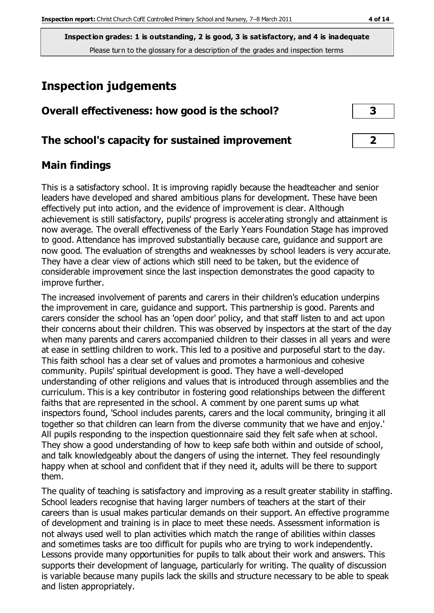**Inspection grades: 1 is outstanding, 2 is good, 3 is satisfactory, and 4 is inadequate** Please turn to the glossary for a description of the grades and inspection terms

# **Inspection judgements**

| Overall effectiveness: how good is the school? |  |
|------------------------------------------------|--|
|------------------------------------------------|--|

### **The school's capacity for sustained improvement 2**

## **Main findings**

This is a satisfactory school. It is improving rapidly because the headteacher and senior leaders have developed and shared ambitious plans for development. These have been effectively put into action, and the evidence of improvement is clear. Although achievement is still satisfactory, pupils' progress is accelerating strongly and attainment is now average. The overall effectiveness of the Early Years Foundation Stage has improved to good. Attendance has improved substantially because care, guidance and support are now good. The evaluation of strengths and weaknesses by school leaders is very accurate. They have a clear view of actions which still need to be taken, but the evidence of considerable improvement since the last inspection demonstrates the good capacity to improve further.

The increased involvement of parents and carers in their children's education underpins the improvement in care, guidance and support. This partnership is good. Parents and carers consider the school has an 'open door' policy, and that staff listen to and act upon their concerns about their children. This was observed by inspectors at the start of the day when many parents and carers accompanied children to their classes in all years and were at ease in settling children to work. This led to a positive and purposeful start to the day. This faith school has a clear set of values and promotes a harmonious and cohesive community. Pupils' spiritual development is good. They have a well-developed understanding of other religions and values that is introduced through assemblies and the curriculum. This is a key contributor in fostering good relationships between the different faiths that are represented in the school. A comment by one parent sums up what inspectors found, 'School includes parents, carers and the local community, bringing it all together so that children can learn from the diverse community that we have and enjoy.' All pupils responding to the inspection questionnaire said they felt safe when at school. They show a good understanding of how to keep safe both within and outside of school, and talk knowledgeably about the dangers of using the internet. They feel resoundingly happy when at school and confident that if they need it, adults will be there to support them.

The quality of teaching is satisfactory and improving as a result greater stability in staffing. School leaders recognise that having larger numbers of teachers at the start of their careers than is usual makes particular demands on their support. An effective programme of development and training is in place to meet these needs. Assessment information is not always used well to plan activities which match the range of abilities within classes and sometimes tasks are too difficult for pupils who are trying to work independently. Lessons provide many opportunities for pupils to talk about their work and answers. This supports their development of language, particularly for writing. The quality of discussion is variable because many pupils lack the skills and structure necessary to be able to speak and listen appropriately.

| 3 |
|---|
|   |
|   |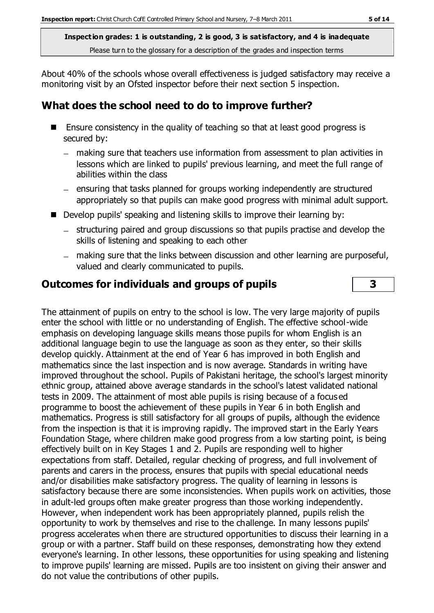**Inspection grades: 1 is outstanding, 2 is good, 3 is satisfactory, and 4 is inadequate** Please turn to the glossary for a description of the grades and inspection terms

About 40% of the schools whose overall effectiveness is judged satisfactory may receive a monitoring visit by an Ofsted inspector before their next section 5 inspection.

## **What does the school need to do to improve further?**

- Ensure consistency in the quality of teaching so that at least good progress is secured by:
	- making sure that teachers use information from assessment to plan activities in lessons which are linked to pupils' previous learning, and meet the full range of abilities within the class
	- $-$  ensuring that tasks planned for groups working independently are structured appropriately so that pupils can make good progress with minimal adult support.
- Develop pupils' speaking and listening skills to improve their learning by:
	- structuring paired and group discussions so that pupils practise and develop the skills of listening and speaking to each other
	- making sure that the links between discussion and other learning are purposeful, valued and clearly communicated to pupils.

## **Outcomes for individuals and groups of pupils 3**

The attainment of pupils on entry to the school is low. The very large majority of pupils enter the school with little or no understanding of English. The effective school-wide emphasis on developing language skills means those pupils for whom English is an additional language begin to use the language as soon as they enter, so their skills develop quickly. Attainment at the end of Year 6 has improved in both English and mathematics since the last inspection and is now average. Standards in writing have improved throughout the school. Pupils of Pakistani heritage, the school's largest minority ethnic group, attained above average standards in the school's latest validated national tests in 2009. The attainment of most able pupils is rising because of a focused programme to boost the achievement of these pupils in Year 6 in both English and mathematics. Progress is still satisfactory for all groups of pupils, although the evidence from the inspection is that it is improving rapidly. The improved start in the Early Years Foundation Stage, where children make good progress from a low starting point, is being effectively built on in Key Stages 1 and 2. Pupils are responding well to higher expectations from staff. Detailed, regular checking of progress, and full involvement of parents and carers in the process, ensures that pupils with special educational needs and/or disabilities make satisfactory progress. The quality of learning in lessons is satisfactory because there are some inconsistencies. When pupils work on activities, those in adult-led groups often make greater progress than those working independently. However, when independent work has been appropriately planned, pupils relish the opportunity to work by themselves and rise to the challenge. In many lessons pupils' progress accelerates when there are structured opportunities to discuss their learning in a group or with a partner. Staff build on these responses, demonstrating how they extend everyone's learning. In other lessons, these opportunities for using speaking and listening to improve pupils' learning are missed. Pupils are too insistent on giving their answer and do not value the contributions of other pupils.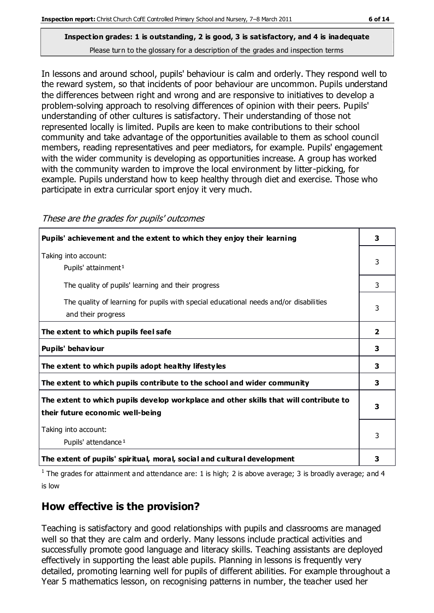In lessons and around school, pupils' behaviour is calm and orderly. They respond well to the reward system, so that incidents of poor behaviour are uncommon. Pupils understand the differences between right and wrong and are responsive to initiatives to develop a problem-solving approach to resolving differences of opinion with their peers. Pupils' understanding of other cultures is satisfactory. Their understanding of those not represented locally is limited. Pupils are keen to make contributions to their school community and take advantage of the opportunities available to them as school council members, reading representatives and peer mediators, for example. Pupils' engagement with the wider community is developing as opportunities increase. A group has worked with the community warden to improve the local environment by litter-picking, for example. Pupils understand how to keep healthy through diet and exercise. Those who participate in extra curricular sport enjoy it very much.

These are the grades for pupils' outcomes

| Pupils' achievement and the extent to which they enjoy their learning                                                     | 3 |
|---------------------------------------------------------------------------------------------------------------------------|---|
| Taking into account:<br>Pupils' attainment <sup>1</sup>                                                                   | 3 |
| The quality of pupils' learning and their progress                                                                        | 3 |
| The quality of learning for pupils with special educational needs and/or disabilities<br>and their progress               | 3 |
| The extent to which pupils feel safe                                                                                      | 2 |
| Pupils' behaviour                                                                                                         | 3 |
| The extent to which pupils adopt healthy lifestyles                                                                       | 3 |
| The extent to which pupils contribute to the school and wider community                                                   | 3 |
| The extent to which pupils develop workplace and other skills that will contribute to<br>their future economic well-being | 3 |
| Taking into account:<br>Pupils' attendance <sup>1</sup>                                                                   | 3 |
| The extent of pupils' spiritual, moral, social and cultural development                                                   | з |

<sup>1</sup> The grades for attainment and attendance are: 1 is high; 2 is above average; 3 is broadly average; and 4 is low

# **How effective is the provision?**

Teaching is satisfactory and good relationships with pupils and classrooms are managed well so that they are calm and orderly. Many lessons include practical activities and successfully promote good language and literacy skills. Teaching assistants are deployed effectively in supporting the least able pupils. Planning in lessons is frequently very detailed, promoting learning well for pupils of different abilities. For example throughout a Year 5 mathematics lesson, on recognising patterns in number, the teacher used her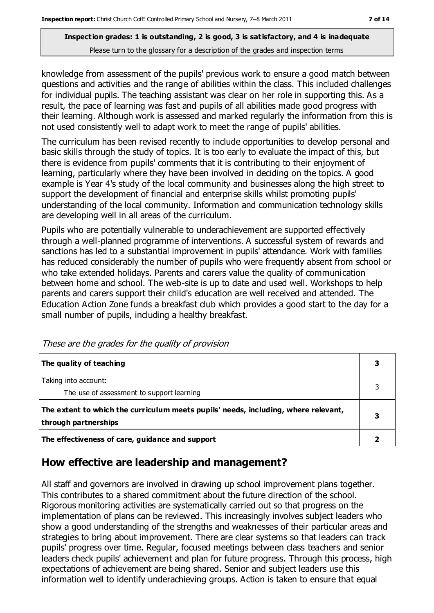knowledge from assessment of the pupils' previous work to ensure a good match between questions and activities and the range of abilities within the class. This included challenges for individual pupils. The teaching assistant was clear on her role in supporting this. As a result, the pace of learning was fast and pupils of all abilities made good progress with their learning. Although work is assessed and marked regularly the information from this is not used consistently well to adapt work to meet the range of pupils' abilities.

The curriculum has been revised recently to include opportunities to develop personal and basic skills through the study of topics. It is too early to evaluate the impact of this, but there is evidence from pupils' comments that it is contributing to their enjoyment of learning, particularly where they have been involved in deciding on the topics. A good example is Year 4's study of the local community and businesses along the high street to support the development of financial and enterprise skills whilst promoting pupils' understanding of the local community. Information and communication technology skills are developing well in all areas of the curriculum.

Pupils who are potentially vulnerable to underachievement are supported effectively through a well-planned programme of interventions. A successful system of rewards and sanctions has led to a substantial improvement in pupils' attendance. Work with families has reduced considerably the number of pupils who were frequently absent from school or who take extended holidays. Parents and carers value the quality of communication between home and school. The web-site is up to date and used well. Workshops to help parents and carers support their child's education are well received and attended. The Education Action Zone funds a breakfast club which provides a good start to the day for a small number of pupils, including a healthy breakfast.

| The quality of teaching                                                                                    | 3 |
|------------------------------------------------------------------------------------------------------------|---|
| Taking into account:<br>The use of assessment to support learning                                          | 3 |
| The extent to which the curriculum meets pupils' needs, including, where relevant,<br>through partnerships | 3 |
| The effectiveness of care, guidance and support                                                            |   |

These are the grades for the quality of provision

# **How effective are leadership and management?**

All staff and governors are involved in drawing up school improvement plans together. This contributes to a shared commitment about the future direction of the school. Rigorous monitoring activities are systematically carried out so that progress on the implementation of plans can be reviewed. This increasingly involves subject leaders who show a good understanding of the strengths and weaknesses of their particular areas and strategies to bring about improvement. There are clear systems so that leaders can track pupils' progress over time. Regular, focused meetings between class teachers and senior leaders check pupils' achievement and plan for future progress. Through this process, high expectations of achievement are being shared. Senior and subject leaders use this information well to identify underachieving groups. Action is taken to ensure that equal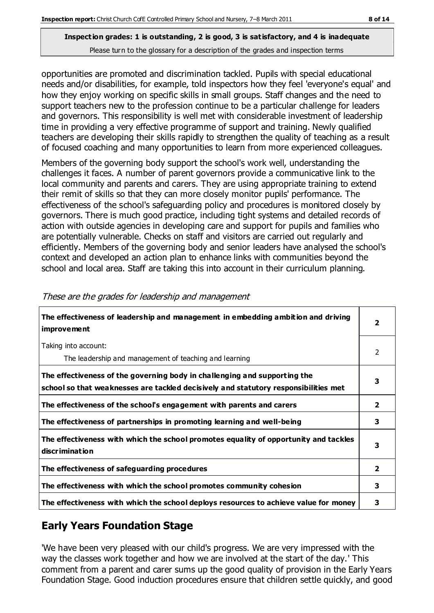opportunities are promoted and discrimination tackled. Pupils with special educational needs and/or disabilities, for example, told inspectors how they feel 'everyone's equal' and how they enjoy working on specific skills in small groups. Staff changes and the need to support teachers new to the profession continue to be a particular challenge for leaders and governors. This responsibility is well met with considerable investment of leadership time in providing a very effective programme of support and training. Newly qualified teachers are developing their skills rapidly to strengthen the quality of teaching as a result of focused coaching and many opportunities to learn from more experienced colleagues.

Members of the governing body support the school's work well, understanding the challenges it faces. A number of parent governors provide a communicative link to the local community and parents and carers. They are using appropriate training to extend their remit of skills so that they can more closely monitor pupils' performance. The effectiveness of the school's safeguarding policy and procedures is monitored closely by governors. There is much good practice, including tight systems and detailed records of action with outside agencies in developing care and support for pupils and families who are potentially vulnerable. Checks on staff and visitors are carried out regularly and efficiently. Members of the governing body and senior leaders have analysed the school's context and developed an action plan to enhance links with communities beyond the school and local area. Staff are taking this into account in their curriculum planning.

| The effectiveness of leadership and management in embedding ambition and driving<br><i>improvement</i>                                                           | $\overline{\mathbf{2}}$ |
|------------------------------------------------------------------------------------------------------------------------------------------------------------------|-------------------------|
| Taking into account:<br>The leadership and management of teaching and learning                                                                                   | 2                       |
| The effectiveness of the governing body in challenging and supporting the<br>school so that weaknesses are tackled decisively and statutory responsibilities met | 3                       |
| The effectiveness of the school's engagement with parents and carers                                                                                             | $\overline{2}$          |
| The effectiveness of partnerships in promoting learning and well-being                                                                                           | 3                       |
| The effectiveness with which the school promotes equality of opportunity and tackles<br>discrimination                                                           | 3                       |
| The effectiveness of safeguarding procedures                                                                                                                     | $\overline{2}$          |
| The effectiveness with which the school promotes community cohesion                                                                                              | 3                       |
| The effectiveness with which the school deploys resources to achieve value for money                                                                             | 3                       |

These are the grades for leadership and management

# **Early Years Foundation Stage**

'We have been very pleased with our child's progress. We are very impressed with the way the classes work together and how we are involved at the start of the day.' This comment from a parent and carer sums up the good quality of provision in the Early Years Foundation Stage. Good induction procedures ensure that children settle quickly, and good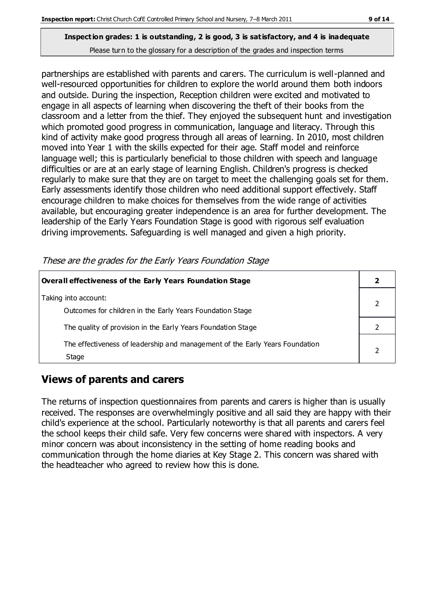partnerships are established with parents and carers. The curriculum is well-planned and well-resourced opportunities for children to explore the world around them both indoors and outside. During the inspection, Reception children were excited and motivated to engage in all aspects of learning when discovering the theft of their books from the classroom and a letter from the thief. They enjoyed the subsequent hunt and investigation which promoted good progress in communication, language and literacy. Through this kind of activity make good progress through all areas of learning. In 2010, most children moved into Year 1 with the skills expected for their age. Staff model and reinforce language well; this is particularly beneficial to those children with speech and language difficulties or are at an early stage of learning English. Children's progress is checked regularly to make sure that they are on target to meet the challenging goals set for them. Early assessments identify those children who need additional support effectively. Staff encourage children to make choices for themselves from the wide range of activities available, but encouraging greater independence is an area for further development. The leadership of the Early Years Foundation Stage is good with rigorous self evaluation driving improvements. Safeguarding is well managed and given a high priority.

These are the grades for the Early Years Foundation Stage

| Overall effectiveness of the Early Years Foundation Stage                             |  |
|---------------------------------------------------------------------------------------|--|
| Taking into account:<br>Outcomes for children in the Early Years Foundation Stage     |  |
| The quality of provision in the Early Years Foundation Stage                          |  |
| The effectiveness of leadership and management of the Early Years Foundation<br>Stage |  |

# **Views of parents and carers**

The returns of inspection questionnaires from parents and carers is higher than is usually received. The responses are overwhelmingly positive and all said they are happy with their child's experience at the school. Particularly noteworthy is that all parents and carers feel the school keeps their child safe. Very few concerns were shared with inspectors. A very minor concern was about inconsistency in the setting of home reading books and communication through the home diaries at Key Stage 2. This concern was shared with the headteacher who agreed to review how this is done.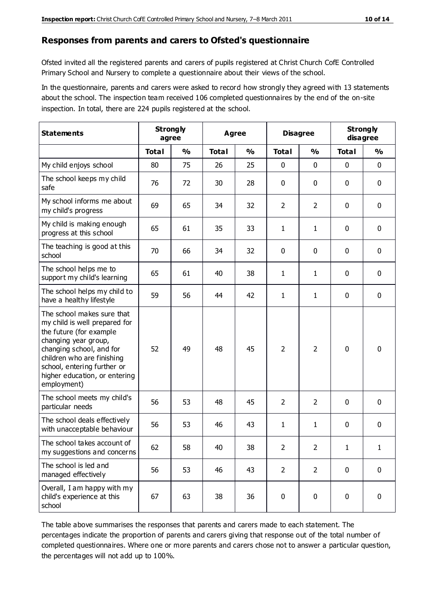#### **Responses from parents and carers to Ofsted's questionnaire**

Ofsted invited all the registered parents and carers of pupils registered at Christ Church CofE Controlled Primary School and Nursery to complete a questionnaire about their views of the school.

In the questionnaire, parents and carers were asked to record how strongly they agreed with 13 statements about the school. The inspection team received 106 completed questionnaires by the end of the on-site inspection. In total, there are 224 pupils registered at the school.

| <b>Statements</b>                                                                                                                                                                                                                                       | <b>Strongly</b><br>agree |               | <b>Agree</b> |               | <b>Disagree</b> |                | <b>Strongly</b><br>disagree |               |
|---------------------------------------------------------------------------------------------------------------------------------------------------------------------------------------------------------------------------------------------------------|--------------------------|---------------|--------------|---------------|-----------------|----------------|-----------------------------|---------------|
|                                                                                                                                                                                                                                                         | <b>Total</b>             | $\frac{0}{0}$ | <b>Total</b> | $\frac{0}{0}$ | <b>Total</b>    | $\frac{0}{0}$  | <b>Total</b>                | $\frac{0}{0}$ |
| My child enjoys school                                                                                                                                                                                                                                  | 80                       | 75            | 26           | 25            | 0               | $\mathbf 0$    | 0                           | $\mathbf 0$   |
| The school keeps my child<br>safe                                                                                                                                                                                                                       | 76                       | 72            | 30           | 28            | 0               | $\mathbf 0$    | 0                           | $\pmb{0}$     |
| My school informs me about<br>my child's progress                                                                                                                                                                                                       | 69                       | 65            | 34           | 32            | $\overline{2}$  | $\overline{2}$ | $\mathbf 0$                 | $\mathbf 0$   |
| My child is making enough<br>progress at this school                                                                                                                                                                                                    | 65                       | 61            | 35           | 33            | $\mathbf{1}$    | 1              | $\mathbf 0$                 | $\mathbf 0$   |
| The teaching is good at this<br>school                                                                                                                                                                                                                  | 70                       | 66            | 34           | 32            | 0               | 0              | 0                           | 0             |
| The school helps me to<br>support my child's learning                                                                                                                                                                                                   | 65                       | 61            | 40           | 38            | $\mathbf{1}$    | 1              | 0                           | $\mathbf 0$   |
| The school helps my child to<br>have a healthy lifestyle                                                                                                                                                                                                | 59                       | 56            | 44           | 42            | $\mathbf{1}$    | 1              | 0                           | $\pmb{0}$     |
| The school makes sure that<br>my child is well prepared for<br>the future (for example<br>changing year group,<br>changing school, and for<br>children who are finishing<br>school, entering further or<br>higher education, or entering<br>employment) | 52                       | 49            | 48           | 45            | $\overline{2}$  | 2              | $\mathbf 0$                 | $\mathbf 0$   |
| The school meets my child's<br>particular needs                                                                                                                                                                                                         | 56                       | 53            | 48           | 45            | $\overline{2}$  | $\overline{2}$ | $\mathbf 0$                 | $\mathbf 0$   |
| The school deals effectively<br>with unacceptable behaviour                                                                                                                                                                                             | 56                       | 53            | 46           | 43            | 1               | 1              | 0                           | 0             |
| The school takes account of<br>my suggestions and concerns                                                                                                                                                                                              | 62                       | 58            | 40           | 38            | $\overline{2}$  | $\overline{2}$ | 1                           | 1             |
| The school is led and<br>managed effectively                                                                                                                                                                                                            | 56                       | 53            | 46           | 43            | $\overline{2}$  | $\overline{2}$ | $\mathbf 0$                 | $\mathbf 0$   |
| Overall, I am happy with my<br>child's experience at this<br>school                                                                                                                                                                                     | 67                       | 63            | 38           | 36            | $\pmb{0}$       | $\pmb{0}$      | $\mathbf 0$                 | $\pmb{0}$     |

The table above summarises the responses that parents and carers made to each statement. The percentages indicate the proportion of parents and carers giving that response out of the total number of completed questionnaires. Where one or more parents and carers chose not to answer a particular question, the percentages will not add up to 100%.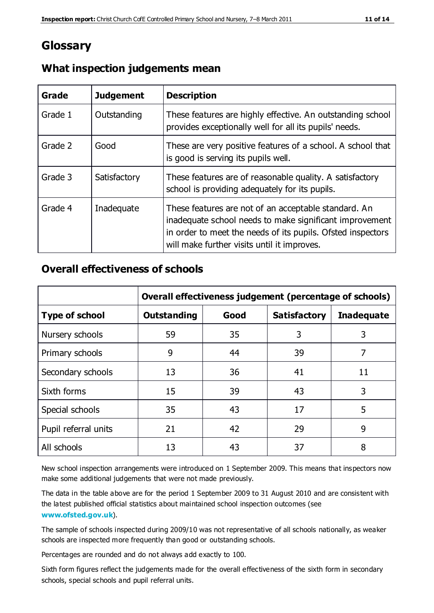# **Glossary**

| Grade   | <b>Judgement</b> | <b>Description</b>                                                                                                                                                                                                            |
|---------|------------------|-------------------------------------------------------------------------------------------------------------------------------------------------------------------------------------------------------------------------------|
| Grade 1 | Outstanding      | These features are highly effective. An outstanding school<br>provides exceptionally well for all its pupils' needs.                                                                                                          |
| Grade 2 | Good             | These are very positive features of a school. A school that<br>is good is serving its pupils well.                                                                                                                            |
| Grade 3 | Satisfactory     | These features are of reasonable quality. A satisfactory<br>school is providing adequately for its pupils.                                                                                                                    |
| Grade 4 | Inadequate       | These features are not of an acceptable standard. An<br>inadequate school needs to make significant improvement<br>in order to meet the needs of its pupils. Ofsted inspectors<br>will make further visits until it improves. |

#### **What inspection judgements mean**

#### **Overall effectiveness of schools**

|                       | Overall effectiveness judgement (percentage of schools) |      |                     |                   |
|-----------------------|---------------------------------------------------------|------|---------------------|-------------------|
| <b>Type of school</b> | <b>Outstanding</b>                                      | Good | <b>Satisfactory</b> | <b>Inadequate</b> |
| Nursery schools       | 59                                                      | 35   | 3                   | 3                 |
| Primary schools       | 9                                                       | 44   | 39                  | 7                 |
| Secondary schools     | 13                                                      | 36   | 41                  | 11                |
| Sixth forms           | 15                                                      | 39   | 43                  | 3                 |
| Special schools       | 35                                                      | 43   | 17                  | 5                 |
| Pupil referral units  | 21                                                      | 42   | 29                  | 9                 |
| All schools           | 13                                                      | 43   | 37                  | 8                 |

New school inspection arrangements were introduced on 1 September 2009. This means that inspectors now make some additional judgements that were not made previously.

The data in the table above are for the period 1 September 2009 to 31 August 2010 and are consistent with the latest published official statistics about maintained school inspection outcomes (see **[www.ofsted.gov.uk](http://www.ofsted.gov.uk/)**).

The sample of schools inspected during 2009/10 was not representative of all schools nationally, as weaker schools are inspected more frequently than good or outstanding schools.

Percentages are rounded and do not always add exactly to 100.

Sixth form figures reflect the judgements made for the overall effectiveness of the sixth form in secondary schools, special schools and pupil referral units.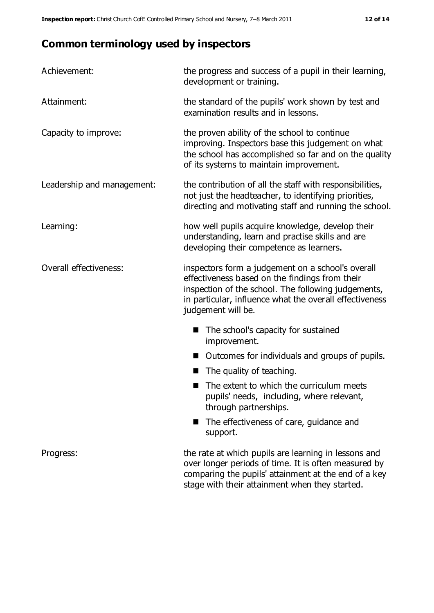# **Common terminology used by inspectors**

| Achievement:               | the progress and success of a pupil in their learning,<br>development or training.                                                                                                                                                          |
|----------------------------|---------------------------------------------------------------------------------------------------------------------------------------------------------------------------------------------------------------------------------------------|
| Attainment:                | the standard of the pupils' work shown by test and<br>examination results and in lessons.                                                                                                                                                   |
| Capacity to improve:       | the proven ability of the school to continue<br>improving. Inspectors base this judgement on what<br>the school has accomplished so far and on the quality<br>of its systems to maintain improvement.                                       |
| Leadership and management: | the contribution of all the staff with responsibilities,<br>not just the headteacher, to identifying priorities,<br>directing and motivating staff and running the school.                                                                  |
| Learning:                  | how well pupils acquire knowledge, develop their<br>understanding, learn and practise skills and are<br>developing their competence as learners.                                                                                            |
| Overall effectiveness:     | inspectors form a judgement on a school's overall<br>effectiveness based on the findings from their<br>inspection of the school. The following judgements,<br>in particular, influence what the overall effectiveness<br>judgement will be. |
|                            | The school's capacity for sustained<br>improvement.                                                                                                                                                                                         |
|                            | Outcomes for individuals and groups of pupils.                                                                                                                                                                                              |
|                            | The quality of teaching.                                                                                                                                                                                                                    |
|                            | The extent to which the curriculum meets<br>pupils' needs, including, where relevant,<br>through partnerships.                                                                                                                              |
|                            | The effectiveness of care, guidance and<br>support.                                                                                                                                                                                         |
| Progress:                  | the rate at which pupils are learning in lessons and<br>over longer periods of time. It is often measured by<br>comparing the pupils' attainment at the end of a key                                                                        |

stage with their attainment when they started.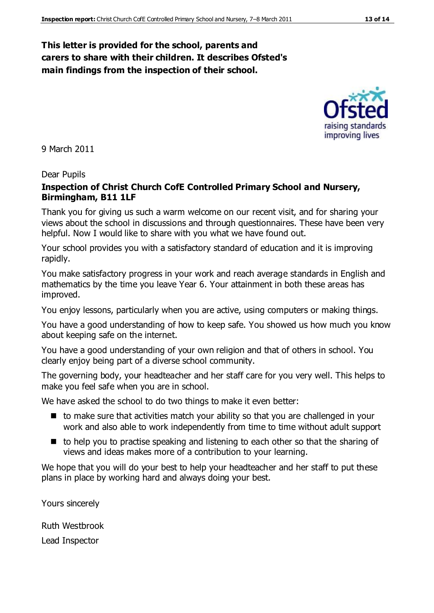#### **This letter is provided for the school, parents and carers to share with their children. It describes Ofsted's main findings from the inspection of their school.**

#### Dear Pupils

9 March 2011

#### **Inspection of Christ Church CofE Controlled Primary School and Nursery, Birmingham, B11 1LF**

Thank you for giving us such a warm welcome on our recent visit, and for sharing your views about the school in discussions and through questionnaires. These have been very helpful. Now I would like to share with you what we have found out.

Your school provides you with a satisfactory standard of education and it is improving rapidly.

You make satisfactory progress in your work and reach average standards in English and mathematics by the time you leave Year 6. Your attainment in both these areas has improved.

You enjoy lessons, particularly when you are active, using computers or making things.

You have a good understanding of how to keep safe. You showed us how much you know about keeping safe on the internet.

You have a good understanding of your own religion and that of others in school. You clearly enjoy being part of a diverse school community.

The governing body, your headteacher and her staff care for you very well. This helps to make you feel safe when you are in school.

We have asked the school to do two things to make it even better:

- $\blacksquare$  to make sure that activities match your ability so that you are challenged in your work and also able to work independently from time to time without adult support
- $\blacksquare$  to help you to practise speaking and listening to each other so that the sharing of views and ideas makes more of a contribution to your learning.

We hope that you will do your best to help your headteacher and her staff to put these plans in place by working hard and always doing your best.

Yours sincerely

Ruth Westbrook Lead Inspector